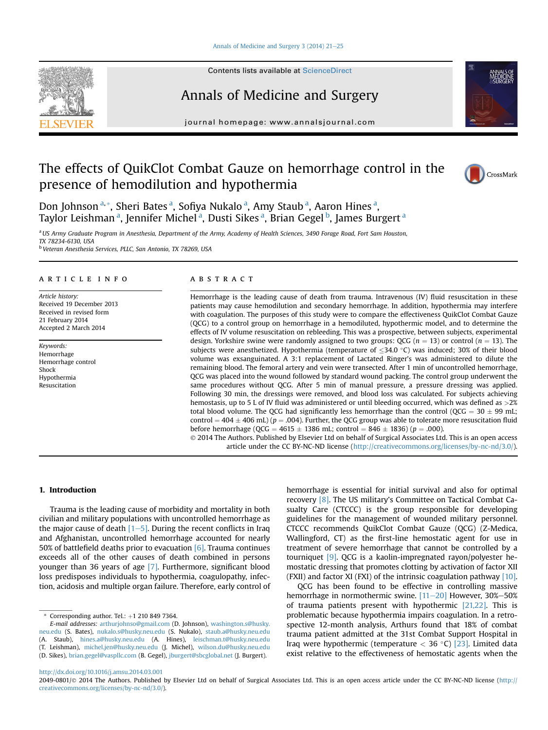#### Annals of Medicine and Surgery 3  $(2014)$  21-[25](http://dx.doi.org/10.1016/j.amsu.2014.03.001)



Contents lists available at ScienceDirect

# Annals of Medicine and Surgery

journal homepage: [www.annalsjournal.com](http://www.annalsjournal.com)

# The effects of QuikClot Combat Gauze on hemorrhage control in the presence of hemodilution and hypothermia





Don Johnson <sup>a, \*</sup>, Sheri Bates <sup>a</sup>, Sofiya Nukalo <sup>a</sup>, Amy Staub <sup>a</sup>, Aaron Hines <sup>a</sup>, Taylor Leishman <sup>a</sup>, Jennifer Michel <sup>a</sup>, Dusti Sikes <sup>a</sup>, Brian Gegel <sup>b</sup>, James Burgert <sup>a</sup>

a US Army Graduate Program in Anesthesia, Department of the Army, Academy of Health Sciences, 3490 Forage Road, Fort Sam Houston, TX 78234-6130, USA

<sup>b</sup> Veteran Anesthesia Services, PLLC, San Antonio, TX 78269, USA

# article info

Article history: Received 19 December 2013 Received in revised form 21 February 2014 Accepted 2 March 2014

Keywords: Hemorrhage Hemorrhage control Shock Hypothermia Resuscitation

## ABSTRACT

Hemorrhage is the leading cause of death from trauma. Intravenous (IV) fluid resuscitation in these patients may cause hemodilution and secondary hemorrhage. In addition, hypothermia may interfere with coagulation. The purposes of this study were to compare the effectiveness QuikClot Combat Gauze (QCG) to a control group on hemorrhage in a hemodiluted, hypothermic model, and to determine the effects of IV volume resuscitation on rebleeding. This was a prospective, between subjects, experimental design. Yorkshire swine were randomly assigned to two groups: QCG ( $n = 13$ ) or control ( $n = 13$ ). The subjects were anesthetized. Hypothermia (temperature of  $\leq$ 34.0 °C) was induced; 30% of their blood volume was exsanguinated. A 3:1 replacement of Lactated Ringer's was administered to dilute the remaining blood. The femoral artery and vein were transected. After 1 min of uncontrolled hemorrhage, QCG was placed into the wound followed by standard wound packing. The control group underwent the same procedures without QCG. After 5 min of manual pressure, a pressure dressing was applied. Following 30 min, the dressings were removed, and blood loss was calculated. For subjects achieving hemostasis, up to 5 L of IV fluid was administered or until bleeding occurred, which was defined as  $>2\%$ total blood volume. The QCG had significantly less hemorrhage than the control (QCG =  $30 \pm 99$  mL; control =  $404 \pm 406$  mL) (p = .004). Further, the QCG group was able to tolerate more resuscitation fluid before hemorrhage (QCG = 4615  $\pm$  1386 mL; control = 846  $\pm$  1836) (p = .000). 2014 The Authors. Published by Elsevier Ltd on behalf of Surgical Associates Ltd. This is an open access

article under the CC BY-NC-ND license [\(http://creativecommons.org/licenses/by-nc-nd/3.0/](http://creativecommons.org/licenses/by-nc-nd/3.0/)).

## 1. Introduction

Trauma is the leading cause of morbidity and mortality in both civilian and military populations with uncontrolled hemorrhage as the major cause of death  $[1–5]$  $[1–5]$  $[1–5]$ . During the recent conflicts in Iraq and Afghanistan, uncontrolled hemorrhage accounted for nearly 50% of battlefield deaths prior to evacuation  $[6]$ . Trauma continues exceeds all of the other causes of death combined in persons younger than 36 years of age [\[7\]](#page-3-0). Furthermore, significant blood loss predisposes individuals to hypothermia, coagulopathy, infection, acidosis and multiple organ failure. Therefore, early control of hemorrhage is essential for initial survival and also for optimal recovery [\[8\].](#page-3-0) The US military's Committee on Tactical Combat Casualty Care (CTCCC) is the group responsible for developing guidelines for the management of wounded military personnel. CTCCC recommends QuikClot Combat Gauze (QCG) (Z-Medica, Wallingford, CT) as the first-line hemostatic agent for use in treatment of severe hemorrhage that cannot be controlled by a tourniquet [\[9\].](#page-3-0) QCG is a kaolin-impregnated rayon/polyester hemostatic dressing that promotes clotting by activation of factor XII (FXII) and factor XI (FXI) of the intrinsic coagulation pathway [\[10\].](#page-3-0)

QCG has been found to be effective in controlling massive hemorrhage in normothermic swine.  $[11–20]$  $[11–20]$  $[11–20]$  However, 30%-50% of trauma patients present with hypothermic [\[21,22\]](#page-3-0). This is problematic because hypothermia impairs coagulation. In a retrospective 12-month analysis, Arthurs found that 18% of combat trauma patient admitted at the 31st Combat Support Hospital in Iraq were hypothermic (temperature  $<$  36 °C) [\[23\]](#page-4-0). Limited data exist relative to the effectiveness of hemostatic agents when the

<http://dx.doi.org/10.1016/j.amsu.2014.03.001>

Corresponding author. Tel.:  $+1$  210 849 7364.

E-mail addresses: [arthurjohnso@gmail.com](mailto:arthurjohnso@gmail.com) (D. Johnson), [washington.s@husky.](mailto:washington.s@husky.neu.edu) [neu.edu](mailto:washington.s@husky.neu.edu) (S. Bates), [nukalo.s@husky.neu.edu](mailto:nukalo.s@husky.neu.edu) (S. Nukalo), [staub.a@husky.neu.edu](mailto:staub.a@husky.neu.edu) (A. Staub), [hines.a@husky.neu.edu](mailto:hines.a@husky.neu.edu) (A. Hines), [leischman.t@husky.neu.edu](mailto:leischman.t@husky.neu.edu) (T. Leishman), [michel.jen@husky.neu.edu](mailto:michel.jen@husky.neu.edu) (J. Michel), [wilson.du@husky.neu.edu](mailto:wilson.du@husky.neu.edu) (D. Sikes), [brian.gegel@vaspllc.com](mailto:brian.gegel@vaspllc.com) (B. Gegel), [jburgert@sbcglobal.net](mailto:jburgert@sbcglobal.net) (J. Burgert).

 $2049-0801/\odot 2014$  The Authors. Published by Elsevier Ltd on behalf of Surgical Associates Ltd. This is an open access article under the CC BY-NC-ND license ([http://](http://creativecommons.org/licenses/by-nc-nd/3.0/) [creativecommons.org/licenses/by-nc-nd/3.0/](http://creativecommons.org/licenses/by-nc-nd/3.0/)).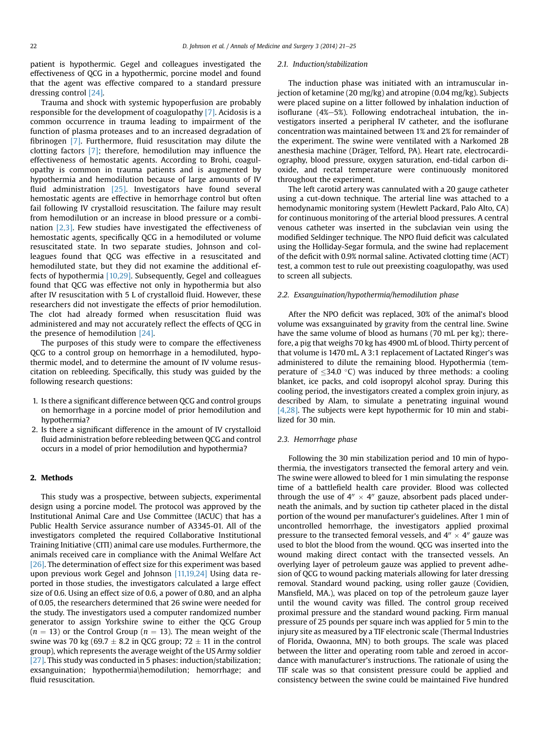patient is hypothermic. Gegel and colleagues investigated the effectiveness of QCG in a hypothermic, porcine model and found that the agent was effective compared to a standard pressure dressing control [\[24\].](#page-4-0)

Trauma and shock with systemic hypoperfusion are probably responsible for the development of coagulopathy [\[7\].](#page-3-0) Acidosis is a common occurrence in trauma leading to impairment of the function of plasma proteases and to an increased degradation of fibrinogen [\[7\].](#page-3-0) Furthermore, fluid resuscitation may dilute the clotting factors [\[7\];](#page-3-0) therefore, hemodilution may influence the effectiveness of hemostatic agents. According to Brohi, coagulopathy is common in trauma patients and is augmented by hypothermia and hemodilution because of large amounts of IV fluid administration [\[25\].](#page-4-0) Investigators have found several hemostatic agents are effective in hemorrhage control but often fail following IV crystalloid resuscitation. The failure may result from hemodilution or an increase in blood pressure or a combination [\[2,3\].](#page-3-0) Few studies have investigated the effectiveness of hemostatic agents, specifically QCG in a hemodiluted or volume resuscitated state. In two separate studies, Johnson and colleagues found that QCG was effective in a resuscitated and hemodiluted state, but they did not examine the additional effects of hypothermia [\[10,29\]](#page-3-0). Subsequently, Gegel and colleagues found that QCG was effective not only in hypothermia but also after IV resuscitation with 5 L of crystalloid fluid. However, these researchers did not investigate the effects of prior hemodilution. The clot had already formed when resuscitation fluid was administered and may not accurately reflect the effects of QCG in the presence of hemodilution [\[24\].](#page-4-0)

The purposes of this study were to compare the effectiveness QCG to a control group on hemorrhage in a hemodiluted, hypothermic model, and to determine the amount of IV volume resuscitation on rebleeding. Specifically, this study was guided by the following research questions:

- 1. Is there a significant difference between QCG and control groups on hemorrhage in a porcine model of prior hemodilution and hypothermia?
- 2. Is there a significant difference in the amount of IV crystalloid fluid administration before rebleeding between QCG and control occurs in a model of prior hemodilution and hypothermia?

# 2. Methods

This study was a prospective, between subjects, experimental design using a porcine model. The protocol was approved by the Institutional Animal Care and Use Committee (IACUC) that has a Public Health Service assurance number of A3345-01. All of the investigators completed the required Collaborative Institutional Training Initiative (CITI) animal care use modules. Furthermore, the animals received care in compliance with the Animal Welfare Act [\[26\]](#page-4-0). The determination of effect size for this experiment was based upon previous work Gegel and Johnson [\[11,19,24\]](#page-3-0) Using data reported in those studies, the investigators calculated a large effect size of 0.6. Using an effect size of 0.6, a power of 0.80, and an alpha of 0.05, the researchers determined that 26 swine were needed for the study. The investigators used a computer randomized number generator to assign Yorkshire swine to either the QCG Group  $(n = 13)$  or the Control Group  $(n = 13)$ . The mean weight of the swine was 70 kg (69.7  $\pm$  8.2 in QCG group; 72  $\pm$  11 in the control group), which represents the average weight of the US Army soldier [\[27\]](#page-4-0). This study was conducted in 5 phases: induction/stabilization; exsanguination; hypothermia\hemodilution; hemorrhage; and fluid resuscitation.

#### 2.1. Induction/stabilization

The induction phase was initiated with an intramuscular injection of ketamine (20 mg/kg) and atropine (0.04 mg/kg). Subjects were placed supine on a litter followed by inhalation induction of isoflurane  $(4\% - 5\%)$ . Following endotracheal intubation, the investigators inserted a peripheral IV catheter, and the isoflurane concentration was maintained between 1% and 2% for remainder of the experiment. The swine were ventilated with a Narkomed 2B anesthesia machine (Dräger, Telford, PA). Heart rate, electrocardiography, blood pressure, oxygen saturation, end-tidal carbon dioxide, and rectal temperature were continuously monitored throughout the experiment.

The left carotid artery was cannulated with a 20 gauge catheter using a cut-down technique. The arterial line was attached to a hemodynamic monitoring system (Hewlett Packard, Palo Alto, CA) for continuous monitoring of the arterial blood pressures. A central venous catheter was inserted in the subclavian vein using the modified Seldinger technique. The NPO fluid deficit was calculated using the Holliday-Segar formula, and the swine had replacement of the deficit with 0.9% normal saline. Activated clotting time (ACT) test, a common test to rule out preexisting coagulopathy, was used to screen all subjects.

### 2.2. Exsanguination/hypothermia/hemodilution phase

After the NPO deficit was replaced, 30% of the animal's blood volume was exsanguinated by gravity from the central line. Swine have the same volume of blood as humans (70 mL per kg); therefore, a pig that weighs 70 kg has 4900 mL of blood. Thirty percent of that volume is 1470 mL. A 3:1 replacement of Lactated Ringer's was administered to dilute the remaining blood. Hypothermia (temperature of  $\leq$ 34.0 °C) was induced by three methods: a cooling blanket, ice packs, and cold isopropyl alcohol spray. During this cooling period, the investigators created a complex groin injury, as described by Alam, to simulate a penetrating inguinal wound [\[4,28\].](#page-3-0) The subjects were kept hypothermic for 10 min and stabilized for 30 min.

## 2.3. Hemorrhage phase

Following the 30 min stabilization period and 10 min of hypothermia, the investigators transected the femoral artery and vein. The swine were allowed to bleed for 1 min simulating the response time of a battlefield health care provider. Blood was collected through the use of  $4'' \times 4''$  gauze, absorbent pads placed underneath the animals, and by suction tip catheter placed in the distal portion of the wound per manufacturer's guidelines. After 1 min of uncontrolled hemorrhage, the investigators applied proximal pressure to the transected femoral vessels, and  $4'' \times 4''$  gauze was used to blot the blood from the wound. QCG was inserted into the wound making direct contact with the transected vessels. An overlying layer of petroleum gauze was applied to prevent adhesion of QCG to wound packing materials allowing for later dressing removal. Standard wound packing, using roller gauze (Covidien, Mansfield, MA.), was placed on top of the petroleum gauze layer until the wound cavity was filled. The control group received proximal pressure and the standard wound packing. Firm manual pressure of 25 pounds per square inch was applied for 5 min to the injury site as measured by a TIF electronic scale (Thermal Industries of Florida, Owaonna, MN) to both groups. The scale was placed between the litter and operating room table and zeroed in accordance with manufacturer's instructions. The rationale of using the TIF scale was so that consistent pressure could be applied and consistency between the swine could be maintained Five hundred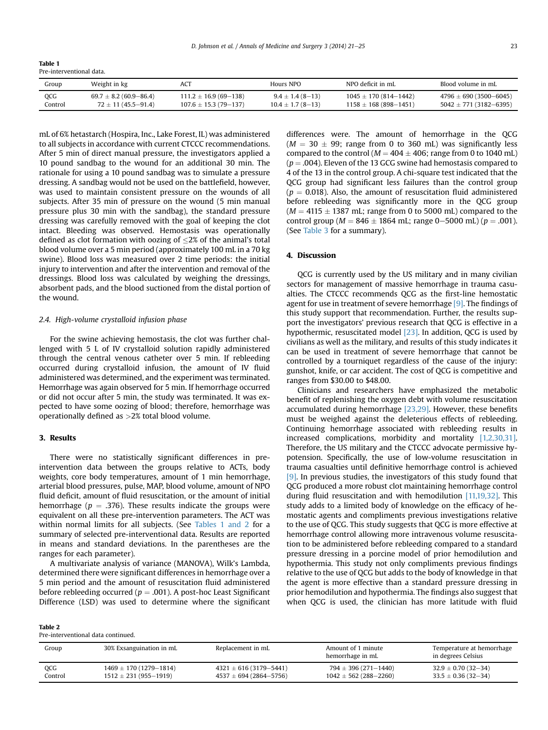Table 1 Pre-interventional data.

| Group   | Weight in kg               | ACT                        | Hours NPO             | NPO deficit in mL           | Blood volume in mL           |
|---------|----------------------------|----------------------------|-----------------------|-----------------------------|------------------------------|
| OCG     | $69.7 \pm 8.2$ (60.9–86.4) | $111.2 \pm 16.9$ (69-138)  | $9.4 \pm 1.4(8 - 13)$ | $1045 \pm 170 (814 - 1442)$ | $4796 \pm 690$ (3500-6045)   |
| Control | $72 \pm 11(45.5 - 91.4)$   | $107.6 \pm 15.3(79 - 137)$ | $10.4 \pm 1.7(8-13)$  | $1158 \pm 168$ (898-1451)   | $5042 \pm 771 (3182 - 6395)$ |

mL of 6% hetastarch (Hospira, Inc., Lake Forest, IL) was administered to all subjects in accordance with current CTCCC recommendations. After 5 min of direct manual pressure, the investigators applied a 10 pound sandbag to the wound for an additional 30 min. The rationale for using a 10 pound sandbag was to simulate a pressure dressing. A sandbag would not be used on the battlefield, however, was used to maintain consistent pressure on the wounds of all subjects. After 35 min of pressure on the wound (5 min manual pressure plus 30 min with the sandbag), the standard pressure dressing was carefully removed with the goal of keeping the clot intact. Bleeding was observed. Hemostasis was operationally defined as clot formation with oozing of  $\leq$ 2% of the animal's total blood volume over a 5 min period (approximately 100 mL in a 70 kg swine). Blood loss was measured over 2 time periods: the initial injury to intervention and after the intervention and removal of the dressings. Blood loss was calculated by weighing the dressings, absorbent pads, and the blood suctioned from the distal portion of the wound.

### 2.4. High-volume crystalloid infusion phase

For the swine achieving hemostasis, the clot was further challenged with 5 L of IV crystalloid solution rapidly administered through the central venous catheter over 5 min. If rebleeding occurred during crystalloid infusion, the amount of IV fluid administered was determined, and the experiment was terminated. Hemorrhage was again observed for 5 min. If hemorrhage occurred or did not occur after 5 min, the study was terminated. It was expected to have some oozing of blood; therefore, hemorrhage was operationally defined as >2% total blood volume.

## 3. Results

There were no statistically significant differences in preintervention data between the groups relative to ACTs, body weights, core body temperatures, amount of 1 min hemorrhage, arterial blood pressures, pulse, MAP, blood volume, amount of NPO fluid deficit, amount of fluid resuscitation, or the amount of initial hemorrhage ( $p = .376$ ). These results indicate the groups were equivalent on all these pre-intervention parameters. The ACT was within normal limits for all subjects. (See Tables 1 and 2 for a summary of selected pre-interventional data. Results are reported in means and standard deviations. In the parentheses are the ranges for each parameter).

A multivariate analysis of variance (MANOVA), Wilk's Lambda, determined there were significant differences in hemorrhage over a 5 min period and the amount of resuscitation fluid administered before rebleeding occurred ( $p = .001$ ). A post-hoc Least Significant Difference (LSD) was used to determine where the significant

| Pre-interventional data continued. |  |
|------------------------------------|--|

Table 2

differences were. The amount of hemorrhage in the QCG  $(M = 30 \pm 99)$ ; range from 0 to 360 mL) was significantly less compared to the control ( $M = 404 \pm 406$ ; range from 0 to 1040 mL)  $(p = .004)$ . Eleven of the 13 GCG swine had hemostasis compared to 4 of the 13 in the control group. A chi-square test indicated that the QCG group had significant less failures than the control group  $(p = 0.018)$ . Also, the amount of resuscitation fluid administered before rebleeding was significantly more in the QCG group  $(M = 4115 \pm 1387 \text{ mL}$ ; range from 0 to 5000 mL) compared to the control group ( $M = 846 \pm 1864$  mL; range 0-5000 mL) ( $p = .001$ ). (See [Table 3](#page-3-0) for a summary).

### 4. Discussion

QCG is currently used by the US military and in many civilian sectors for management of massive hemorrhage in trauma casualties. The CTCCC recommends QCG as the first-line hemostatic agent for use in treatment of severe hemorrhage [\[9\].](#page-3-0) The findings of this study support that recommendation. Further, the results support the investigators' previous research that QCG is effective in a hypothermic, resuscitated model [\[23\]](#page-4-0). In addition, QCG is used by civilians as well as the military, and results of this study indicates it can be used in treatment of severe hemorrhage that cannot be controlled by a tourniquet regardless of the cause of the injury: gunshot, knife, or car accident. The cost of QCG is competitive and ranges from \$30.00 to \$48.00.

Clinicians and researchers have emphasized the metabolic benefit of replenishing the oxygen debt with volume resuscitation accumulated during hemorrhage [\[23,29\]](#page-4-0). However, these benefits must be weighed against the deleterious effects of rebleeding. Continuing hemorrhage associated with rebleeding results in increased complications, morbidity and mortality [\[1,2,30,31\].](#page-3-0) Therefore, the US military and the CTCCC advocate permissive hypotension. Specifically, the use of low-volume resuscitation in trauma casualties until definitive hemorrhage control is achieved [\[9\]](#page-3-0). In previous studies, the investigators of this study found that QCG produced a more robust clot maintaining hemorrhage control during fluid resuscitation and with hemodilution [\[11,19,32\].](#page-3-0) This study adds to a limited body of knowledge on the efficacy of hemostatic agents and compliments previous investigations relative to the use of QCG. This study suggests that QCG is more effective at hemorrhage control allowing more intravenous volume resuscitation to be administered before rebleeding compared to a standard pressure dressing in a porcine model of prior hemodilution and hypothermia. This study not only compliments previous findings relative to the use of QCG but adds to the body of knowledge in that the agent is more effective than a standard pressure dressing in prior hemodilution and hypothermia. The findings also suggest that when QCG is used, the clinician has more latitude with fluid

| Group      | 30% Exsanguination in mL     | Replacement in mL            | Amount of 1 minute<br>hemorrhage in mL | Temperature at hemorrhage<br>in degrees Celsius |
|------------|------------------------------|------------------------------|----------------------------------------|-------------------------------------------------|
| <b>OCG</b> | $1469 \pm 170 (1279 - 1814)$ | $4321 \pm 616 (3179 - 5441)$ | $794 \pm 396$ (271-1440)               | $32.9 \pm 0.70$ (32-34)                         |
| Control    | $1512 \pm 231 (955 - 1919)$  | $4537 \pm 694 (2864 - 5756)$ | $1042 \pm 562 (288 - 2260)$            | $33.5 \pm 0.36$ (32–34)                         |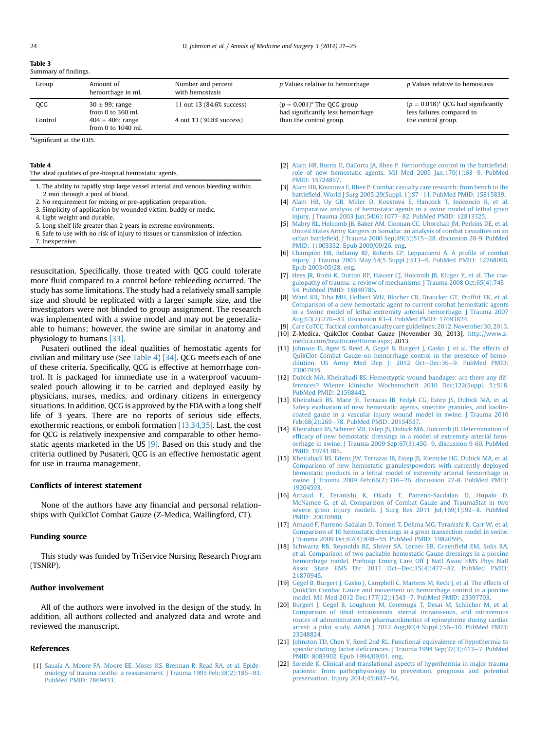#### <span id="page-3-0"></span>Table 3 Summary of findings.

| Group   | Amount of<br>hemorrhage in mL                | Number and percent<br>with hemostasis | p Values relative to hemorrhage                                    | <i>p</i> Values relative to hemostasis                             |
|---------|----------------------------------------------|---------------------------------------|--------------------------------------------------------------------|--------------------------------------------------------------------|
| QCG     | $30 \pm 99$ ; range<br>from 0 to 360 mL      | 11 out 13 (84.6% success)             | $(p = 0.001)^*$ The QCG group<br>had significantly less hemorrhage | $(p = 0.018)^*$ QCG had significantly<br>less failures compared to |
| Control | $404 \pm 406$ ; range<br>from 0 to $1040$ mL | 4 out 13 (30.8% success)              | than the control group.                                            | the control group.                                                 |

\*Significant at the 0.05.

#### Table 4

The ideal qualities of pre-hospital hemostatic agents.

- 1. The ability to rapidly stop large vessel arterial and venous bleeding within 2 min through a pool of blood.
- 2. No requirement for mixing or pre-application preparation.
- 3. Simplicity of application by wounded victim, buddy or medic.
- 4. Light weight and durable.
- 5. Long shelf life greater than 2 years in extreme environments.
- 6. Safe to use with no risk of injury to tissues or transmission of infection.
- 7. Inexpensive.

resuscitation. Specifically, those treated with QCG could tolerate more fluid compared to a control before rebleeding occurred. The study has some limitations. The study had a relatively small sample size and should be replicated with a larger sample size, and the investigators were not blinded to group assignment. The research was implemented with a swine model and may not be generalizable to humans; however, the swine are similar in anatomy and physiology to humans [\[33\]](#page-4-0).

Pusateri outlined the ideal qualities of hemostatic agents for civilian and military use (See Table 4) [\[34\]](#page-4-0). QCG meets each of one of these criteria. Specifically, QCG is effective at hemorrhage control. It is packaged for immediate use in a waterproof vacuumsealed pouch allowing it to be carried and deployed easily by physicians, nurses, medics, and ordinary citizens in emergency situations. In addition, QCG is approved by the FDA with a long shelf life of 3 years. There are no reports of serious side effects, exothermic reactions, or emboli formation [13,34,35]. Last, the cost for QCG is relatively inexpensive and comparable to other hemostatic agents marketed in the US [9]. Based on this study and the criteria outlined by Pusateri, QCG is an effective hemostatic agent for use in trauma management.

#### Conflicts of interest statement

None of the authors have any financial and personal relationships with QuikClot Combat Gauze (Z-Medica, Wallingford, CT).

#### Funding source

This study was funded by TriService Nursing Research Program (TSNRP).

#### Author involvement

All of the authors were involved in the design of the study. In addition, all authors collected and analyzed data and wrote and reviewed the manuscript.

#### References

[1] [Sauaia A, Moore FA, Moore EE, Moser KS, Brennan R, Read RA, et al. Epide](http://refhub.elsevier.com/S2049-0801(14)00025-9/sref1)[miology of trauma deaths: a reassessment. J Trauma 1995 Feb;38\(2\):185](http://refhub.elsevier.com/S2049-0801(14)00025-9/sref1)-[93.](http://refhub.elsevier.com/S2049-0801(14)00025-9/sref1) [PubMed PMID: 7869433.](http://refhub.elsevier.com/S2049-0801(14)00025-9/sref1)

- [2] [Alam HB, Burris D, DaCorta JA, Rhee P. Hemorrhage control in the battle](http://refhub.elsevier.com/S2049-0801(14)00025-9/sref2)field: [role of new hemostatic agents. Mil Med 2005 Jan;170\(1\):63](http://refhub.elsevier.com/S2049-0801(14)00025-9/sref2)-[9. PubMed](http://refhub.elsevier.com/S2049-0801(14)00025-9/sref2) [PMID: 15724857](http://refhub.elsevier.com/S2049-0801(14)00025-9/sref2).
- [3] [Alam HB, Koustova E, Rhee P. Combat casualty care research: from bench to the](http://refhub.elsevier.com/S2049-0801(14)00025-9/sref3) battlefi[eld. World J Surg 2005;29\(Suppl. 1\):S7](http://refhub.elsevier.com/S2049-0801(14)00025-9/sref3)-[11. PubMed PMID: 15815839](http://refhub.elsevier.com/S2049-0801(14)00025-9/sref3).
- [4] [Alam HB, Uy GB, Miller D, Koustova E, Hancock T, Inocencio R, et al.](http://refhub.elsevier.com/S2049-0801(14)00025-9/sref4) [Comparative analysis of hemostatic agents in a swine model of lethal groin](http://refhub.elsevier.com/S2049-0801(14)00025-9/sref4) injury. J Trauma 2003 Jun; 54(6): 1077-[82. PubMed PMID: 12813325](http://refhub.elsevier.com/S2049-0801(14)00025-9/sref4).
- [5] [Mabry RL, Holcomb JB, Baker AM, Cloonan CC, Uhorchak JM, Perkins DE, et al.](http://refhub.elsevier.com/S2049-0801(14)00025-9/sref5) [United States Army Rangers in Somalia: an analysis of combat casualties on an](http://refhub.elsevier.com/S2049-0801(14)00025-9/sref5) urban battlefi[eld. J Trauma 2000 Sep;49\(3\):515](http://refhub.elsevier.com/S2049-0801(14)00025-9/sref5)-[28. discussion 28-9. PubMed](http://refhub.elsevier.com/S2049-0801(14)00025-9/sref5) [PMID: 11003332. Epub 2000/09/26. eng](http://refhub.elsevier.com/S2049-0801(14)00025-9/sref5).
- [6] [Champion HR, Bellamy RF, Roberts CP, Leppaniemi A. A pro](http://refhub.elsevier.com/S2049-0801(14)00025-9/sref6)file of combat [injury. J Trauma 2003 May;54\(5 Suppl.\):S13](http://refhub.elsevier.com/S2049-0801(14)00025-9/sref6)-[9. PubMed PMID: 12768096.](http://refhub.elsevier.com/S2049-0801(14)00025-9/sref6) [Epub 2003/05/28. eng](http://refhub.elsevier.com/S2049-0801(14)00025-9/sref6).
- [7] [Hess JR, Brohi K, Dutton RP, Hauser CJ, Holcomb JB, Kluger Y, et al. The coa](http://refhub.elsevier.com/S2049-0801(14)00025-9/sref7)[gulopathy of trauma: a review of mechanisms. J Trauma 2008 Oct;65\(4\):748](http://refhub.elsevier.com/S2049-0801(14)00025-9/sref7)-[54. PubMed PMID: 18849786.](http://refhub.elsevier.com/S2049-0801(14)00025-9/sref7)
- [8] [Ward KR, Tiba MH, Holbert WH, Blocher CR, Draucker GT, Prof](http://refhub.elsevier.com/S2049-0801(14)00025-9/sref8)fitt EK, et al. [Comparison of a new hemostatic agent to current combat hemostatic agents](http://refhub.elsevier.com/S2049-0801(14)00025-9/sref8) [in a Swine model of lethal extremity arterial hemorrhage. J Trauma 2007](http://refhub.elsevier.com/S2049-0801(14)00025-9/sref8) [Aug;63\(2\):276](http://refhub.elsevier.com/S2049-0801(14)00025-9/sref8)-[83. discussion 83-4. PubMed PMID: 17693824.](http://refhub.elsevier.com/S2049-0801(14)00025-9/sref8)
- [9] [Care CoTCC. Tactical combat casualty care guidelines; 2012. November 30, 2013](http://refhub.elsevier.com/S2049-0801(14)00025-9/sref9).
- [10] Z-Medica. QuikClot Combat Gauze [November 30, 2013], [http://www.z](http://www.z-medica.com/healthcare/Home.aspx)[medica.com/healthcare/Home.aspx](http://www.z-medica.com/healthcare/Home.aspx); 2013.
- [11] [Johnson D, Agee S, Reed A, Gegel B, Burgert J, Gasko J, et al. The effects of](http://refhub.elsevier.com/S2049-0801(14)00025-9/sref11) [QuikClot Combat Gauze on hemorrhage control in the presence of hemo](http://refhub.elsevier.com/S2049-0801(14)00025-9/sref11)[dilution. US Army Med Dep J; 2012 Oct](http://refhub.elsevier.com/S2049-0801(14)00025-9/sref11)-[Dec:36](http://refhub.elsevier.com/S2049-0801(14)00025-9/sref11)-[9. PubMed PMID:](http://refhub.elsevier.com/S2049-0801(14)00025-9/sref11) [23007935](http://refhub.elsevier.com/S2049-0801(14)00025-9/sref11).
- [12] [Dubick MA, Kheirabadi BS. Hemostyptic wound bandages: are there any dif](http://refhub.elsevier.com/S2049-0801(14)00025-9/sref12)[ferences? Wiener klinische Wochenschrift 2010 Dec;122\(Suppl. 5\):S18.](http://refhub.elsevier.com/S2049-0801(14)00025-9/sref12) [PubMed PMID: 21598442.](http://refhub.elsevier.com/S2049-0801(14)00025-9/sref12)
- [13] [Kheirabadi BS, Mace JE, Terrazas IB, Fedyk CG, Estep JS, Dubick MA, et al.](http://refhub.elsevier.com/S2049-0801(14)00025-9/sref13) [Safety evaluation of new hemostatic agents, smectite granules, and kaolin](http://refhub.elsevier.com/S2049-0801(14)00025-9/sref13)[coated gauze in a vascular injury wound model in swine. J Trauma 2010](http://refhub.elsevier.com/S2049-0801(14)00025-9/sref13)<br>[Feb;68\(2\):269](http://refhub.elsevier.com/S2049-0801(14)00025-9/sref13)–[78. PubMed PMID: 20154537.](http://refhub.elsevier.com/S2049-0801(14)00025-9/sref13)
- [14] [Kheirabadi BS, Scherer MR, Estep JS, Dubick MA, Holcomb JB. Determination of](http://refhub.elsevier.com/S2049-0801(14)00025-9/sref14) effi[cacy of new hemostatic dressings in a model of extremity arterial hem](http://refhub.elsevier.com/S2049-0801(14)00025-9/sref14)[orrhage in swine. J Trauma 2009 Sep;67\(3\):450](http://refhub.elsevier.com/S2049-0801(14)00025-9/sref14)-[9. discussion 9-60. PubMed](http://refhub.elsevier.com/S2049-0801(14)00025-9/sref14) [PMID: 19741385.](http://refhub.elsevier.com/S2049-0801(14)00025-9/sref14)
- [15] [Kheirabadi BS, Edens JW, Terrazas IB, Estep JS, Klemcke HG, Dubick MA, et al.](http://refhub.elsevier.com/S2049-0801(14)00025-9/sref15) [Comparison of new hemostatic granules/powders with currently deployed](http://refhub.elsevier.com/S2049-0801(14)00025-9/sref15) [hemostatic products in a lethal model of extremity arterial hemorrhage in](http://refhub.elsevier.com/S2049-0801(14)00025-9/sref15) [swine. J Trauma 2009 Feb;66\(2\):316](http://refhub.elsevier.com/S2049-0801(14)00025-9/sref15)-[26. discussion 27-8. PubMed PMID:](http://refhub.elsevier.com/S2049-0801(14)00025-9/sref15) [19204503](http://refhub.elsevier.com/S2049-0801(14)00025-9/sref15).
- [16] [Arnaud F, Teranishi K, Okada T, Parreno-Sacdalan D, Hupalo D,](http://refhub.elsevier.com/S2049-0801(14)00025-9/sref16) [McNamee G, et al. Comparison of Combat Gauze and TraumaStat in two](http://refhub.elsevier.com/S2049-0801(14)00025-9/sref16) [severe groin injury models. J Surg Res 2011 Jul;169\(1\):92](http://refhub.elsevier.com/S2049-0801(14)00025-9/sref16)-[8. PubMed](http://refhub.elsevier.com/S2049-0801(14)00025-9/sref16) [PMID: 20070980](http://refhub.elsevier.com/S2049-0801(14)00025-9/sref16).
- [17] [Arnaud F, Parreno-Sadalan D, Tomori T, Delima MG, Teranishi K, Carr W, et al.](http://refhub.elsevier.com/S2049-0801(14)00025-9/sref17) [Comparison of 10 hemostatic dressings in a groin transection model in swine.](http://refhub.elsevier.com/S2049-0801(14)00025-9/sref17) [J Trauma 2009 Oct;67\(4\):848](http://refhub.elsevier.com/S2049-0801(14)00025-9/sref17)-[55. PubMed PMID: 19820595](http://refhub.elsevier.com/S2049-0801(14)00025-9/sref17)
- [18] [Schwartz RB, Reynolds BZ, Shiver SA, Lerner EB, Green](http://refhub.elsevier.com/S2049-0801(14)00025-9/sref18)field EM, Solis RA, [et al. Comparison of two packable hemostatic Gauze dressings in a porcine](http://refhub.elsevier.com/S2049-0801(14)00025-9/sref18) [hemorrhage model. Prehosp Emerg Care Off J Natl Assoc EMS Phys Natl](http://refhub.elsevier.com/S2049-0801(14)00025-9/sref18) [Assoc State EMS Dir 2011 Oct](http://refhub.elsevier.com/S2049-0801(14)00025-9/sref18)-[Dec;15\(4\):477](http://refhub.elsevier.com/S2049-0801(14)00025-9/sref18)-[82. PubMed PMID:](http://refhub.elsevier.com/S2049-0801(14)00025-9/sref18) [21870945](http://refhub.elsevier.com/S2049-0801(14)00025-9/sref18).
- [19] [Gegel B, Burgert J, Gasko J, Campbell C, Martens M, Keck J, et al. The effects of](http://refhub.elsevier.com/S2049-0801(14)00025-9/sref19) [QuikClot Combat Gauze and movement on hemorrhage control in a porcine](http://refhub.elsevier.com/S2049-0801(14)00025-9/sref19) [model. Mil Med 2012 Dec;177\(12\):1543](http://refhub.elsevier.com/S2049-0801(14)00025-9/sref19)-[7. PubMed PMID: 23397703](http://refhub.elsevier.com/S2049-0801(14)00025-9/sref19).
- [20] [Burgert J, Gegel B, Loughren M, Ceremuga T, Desai M, Schlicher M, et al.](http://refhub.elsevier.com/S2049-0801(14)00025-9/sref20) [Comparison of tibial intraosseous, sternal intraosseous, and intravenous](http://refhub.elsevier.com/S2049-0801(14)00025-9/sref20) [routes of administration on pharmacokinetics of epinephrine during cardiac](http://refhub.elsevier.com/S2049-0801(14)00025-9/sref20) [arrest: a pilot study. AANA J 2012 Aug;80\(4 Suppl.\):S6](http://refhub.elsevier.com/S2049-0801(14)00025-9/sref20)-[10. PubMed PMID:](http://refhub.elsevier.com/S2049-0801(14)00025-9/sref20) [23248824](http://refhub.elsevier.com/S2049-0801(14)00025-9/sref20).
- [21] [Johnston TD, Chen Y, Reed 2nd RL. Functional equivalence of hypothermia to](http://refhub.elsevier.com/S2049-0801(14)00025-9/sref21) specific clotting factor defi[ciencies. J Trauma 1994 Sep;37\(3\):413](http://refhub.elsevier.com/S2049-0801(14)00025-9/sref21)-[7. PubMed](http://refhub.elsevier.com/S2049-0801(14)00025-9/sref21) [PMID: 8083902. Epub 1994/09/01. eng.](http://refhub.elsevier.com/S2049-0801(14)00025-9/sref21)
- [22] [Soreide K. Clinical and translational aspects of hypothermia in major trauma](http://refhub.elsevier.com/S2049-0801(14)00025-9/sref22) [patients: from pathophysiology to prevention, prognosis and potential](http://refhub.elsevier.com/S2049-0801(14)00025-9/sref22) preservation. Injury  $2014;45:647-54$ .